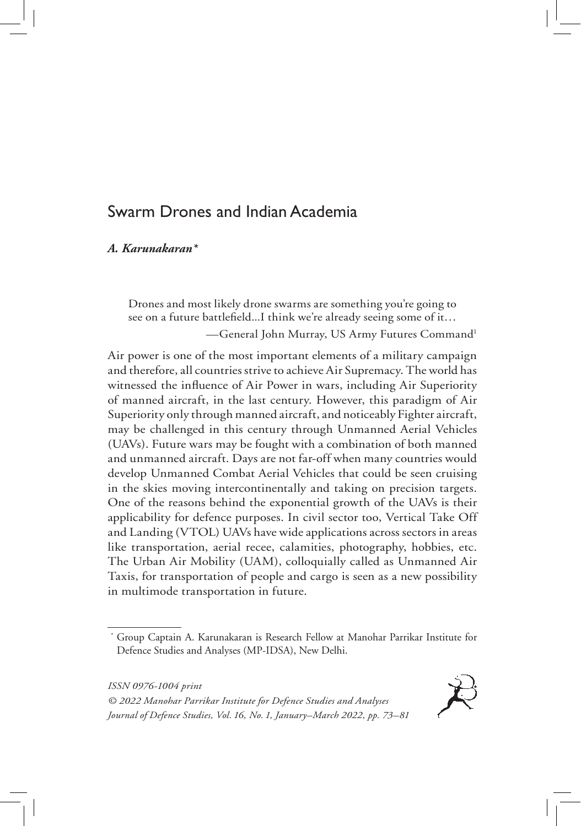# Swarm Drones and Indian Academia

## *A. Karunakaran\**

Drones and most likely drone swarms are something you're going to see on a future battlefield...I think we're already seeing some of it… —General John Murray, US Army Futures Command1

Air power is one of the most important elements of a military campaign and therefore, all countries strive to achieve Air Supremacy. The world has witnessed the influence of Air Power in wars, including Air Superiority of manned aircraft, in the last century. However, this paradigm of Air Superiority only through manned aircraft, and noticeably Fighter aircraft, may be challenged in this century through Unmanned Aerial Vehicles (UAVs). Future wars may be fought with a combination of both manned and unmanned aircraft. Days are not far-off when many countries would develop Unmanned Combat Aerial Vehicles that could be seen cruising in the skies moving intercontinentally and taking on precision targets. One of the reasons behind the exponential growth of the UAVs is their applicability for defence purposes. In civil sector too, Vertical Take Off and Landing (VTOL) UAVs have wide applications across sectors in areas like transportation, aerial recee, calamities, photography, hobbies, etc. The Urban Air Mobility (UAM), colloquially called as Unmanned Air Taxis, for transportation of people and cargo is seen as a new possibility in multimode transportation in future.

*ISSN 0976-1004 print*

*© 2022 Manohar Parrikar Institute for Defence Studies and Analyses Journal of Defence Studies, Vol. 16, No. 1, January–March 2022, pp. 73–81*



<sup>\*</sup> Group Captain A. Karunakaran is Research Fellow at Manohar Parrikar Institute for Defence Studies and Analyses (MP-IDSA), New Delhi.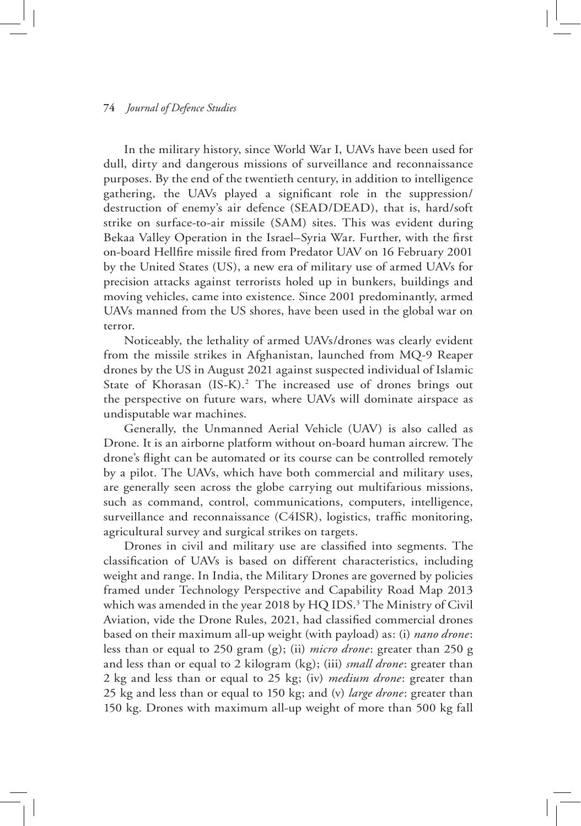#### **74** *Journal of Defence Studies*

In the military history, since World War I, UAVs have been used for dull, dirty and dangerous missions of surveillance and reconnaissance purposes. By the end of the twentieth century, in addition to intelligence gathering, the UAVs played a significant role in the suppression/ destruction of enemy's air defence (SEAD/DEAD), that is, hard/soft strike on surface-to-air missile (SAM) sites. This was evident during Bekaa Valley Operation in the Israel–Syria War. Further, with the first on-board Hellfire missile fired from Predator UAV on 16 February 2001 by the United States (US), a new era of military use of armed UAVs for precision attacks against terrorists holed up in bunkers, buildings and moving vehicles, came into existence. Since 2001 predominantly, armed UAVs manned from the US shores, have been used in the global war on terror.

Noticeably, the lethality of armed UAVs/drones was clearly evident from the missile strikes in Afghanistan, launched from MQ-9 Reaper drones by the US in August 2021 against suspected individual of Islamic State of Khorasan (IS-K).<sup>2</sup> The increased use of drones brings out the perspective on future wars, where UAVs will dominate airspace as undisputable war machines.

Generally, the Unmanned Aerial Vehicle (UAV) is also called as Drone. It is an airborne platform without on-board human aircrew. The drone's flight can be automated or its course can be controlled remotely by a pilot. The UAVs, which have both commercial and military uses, are generally seen across the globe carrying out multifarious missions, such as command, control, communications, computers, intelligence, surveillance and reconnaissance (C4ISR), logistics, traffic monitoring, agricultural survey and surgical strikes on targets.

Drones in civil and military use are classified into segments. The classification of UAVs is based on different characteristics, including weight and range. In India, the Military Drones are governed by policies framed under Technology Perspective and Capability Road Map 2013 which was amended in the year 2018 by HQ IDS.<sup>3</sup> The Ministry of Civil Aviation, vide the Drone Rules, 2021, had classified commercial drones based on their maximum all-up weight (with payload) as: (i) *nano drone*: less than or equal to 250 gram (g); (ii) *micro drone*: greater than 250 g and less than or equal to 2 kilogram (kg); (iii) *small drone*: greater than 2 kg and less than or equal to 25 kg; (iv) *medium drone*: greater than 25 kg and less than or equal to 150 kg; and (v) *large drone*: greater than 150 kg. Drones with maximum all-up weight of more than 500 kg fall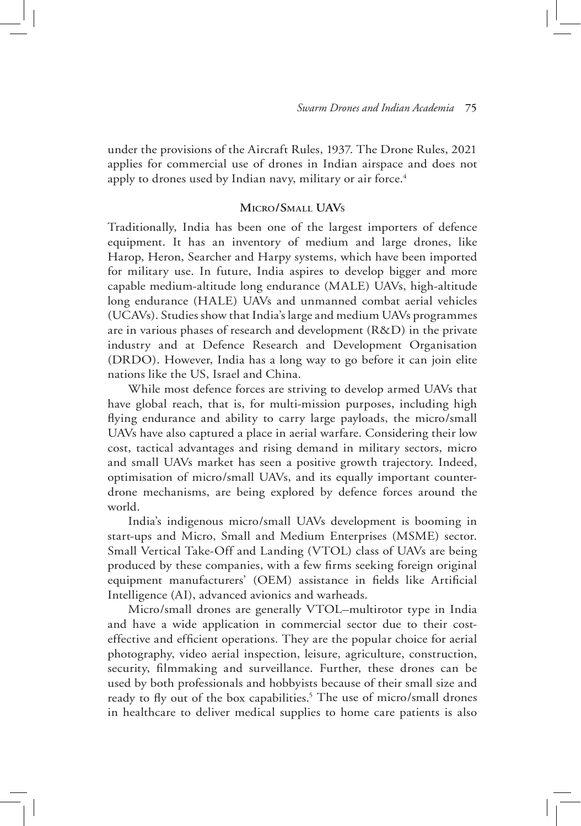under the provisions of the Aircraft Rules, 1937. The Drone Rules, 2021 applies for commercial use of drones in Indian airspace and does not apply to drones used by Indian navy, military or air force.<sup>4</sup>

## **Micro/Small UAVs**

Traditionally, India has been one of the largest importers of defence equipment. It has an inventory of medium and large drones, like Harop, Heron, Searcher and Harpy systems, which have been imported for military use. In future, India aspires to develop bigger and more capable medium-altitude long endurance (MALE) UAVs, high-altitude long endurance (HALE) UAVs and unmanned combat aerial vehicles (UCAVs). Studies show that India's large and medium UAVs programmes are in various phases of research and development (R&D) in the private industry and at Defence Research and Development Organisation (DRDO). However, India has a long way to go before it can join elite nations like the US, Israel and China.

While most defence forces are striving to develop armed UAVs that have global reach, that is, for multi-mission purposes, including high flying endurance and ability to carry large payloads, the micro/small UAVs have also captured a place in aerial warfare. Considering their low cost, tactical advantages and rising demand in military sectors, micro and small UAVs market has seen a positive growth trajectory. Indeed, optimisation of micro/small UAVs, and its equally important counterdrone mechanisms, are being explored by defence forces around the world.

India's indigenous micro/small UAVs development is booming in start-ups and Micro, Small and Medium Enterprises (MSME) sector. Small Vertical Take-Off and Landing (VTOL) class of UAVs are being produced by these companies, with a few firms seeking foreign original equipment manufacturers' (OEM) assistance in fields like Artificial Intelligence (AI), advanced avionics and warheads.

Micro/small drones are generally VTOL–multirotor type in India and have a wide application in commercial sector due to their costeffective and efficient operations. They are the popular choice for aerial photography, video aerial inspection, leisure, agriculture, construction, security, filmmaking and surveillance. Further, these drones can be used by both professionals and hobbyists because of their small size and ready to fly out of the box capabilities.<sup>5</sup> The use of micro/small drones in healthcare to deliver medical supplies to home care patients is also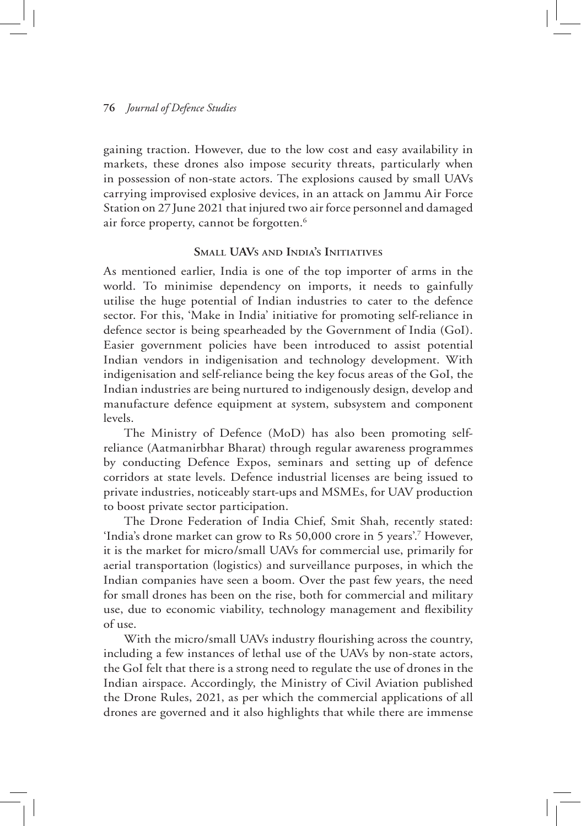### **76** *Journal of Defence Studies*

gaining traction. However, due to the low cost and easy availability in markets, these drones also impose security threats, particularly when in possession of non-state actors. The explosions caused by small UAVs carrying improvised explosive devices, in an attack on Jammu Air Force Station on 27June 2021 that injured two air force personnel and damaged air force property, cannot be forgotten.<sup>6</sup>

## **Small UAVs and India's Initiatives**

As mentioned earlier, India is one of the top importer of arms in the world. To minimise dependency on imports, it needs to gainfully utilise the huge potential of Indian industries to cater to the defence sector. For this, 'Make in India' initiative for promoting self-reliance in defence sector is being spearheaded by the Government of India (GoI). Easier government policies have been introduced to assist potential Indian vendors in indigenisation and technology development. With indigenisation and self-reliance being the key focus areas of the GoI, the Indian industries are being nurtured to indigenously design, develop and manufacture defence equipment at system, subsystem and component levels.

The Ministry of Defence (MoD) has also been promoting selfreliance (Aatmanirbhar Bharat) through regular awareness programmes by conducting Defence Expos, seminars and setting up of defence corridors at state levels. Defence industrial licenses are being issued to private industries, noticeably start-ups and MSMEs, for UAV production to boost private sector participation.

The Drone Federation of India Chief, Smit Shah, recently stated: 'India's drone market can grow to Rs 50,000 crore in 5 years'.7 However, it is the market for micro/small UAVs for commercial use, primarily for aerial transportation (logistics) and surveillance purposes, in which the Indian companies have seen a boom. Over the past few years, the need for small drones has been on the rise, both for commercial and military use, due to economic viability, technology management and flexibility of use.

With the micro/small UAVs industry flourishing across the country, including a few instances of lethal use of the UAVs by non-state actors, the GoI felt that there is a strong need to regulate the use of drones in the Indian airspace. Accordingly, the Ministry of Civil Aviation published the Drone Rules, 2021, as per which the commercial applications of all drones are governed and it also highlights that while there are immense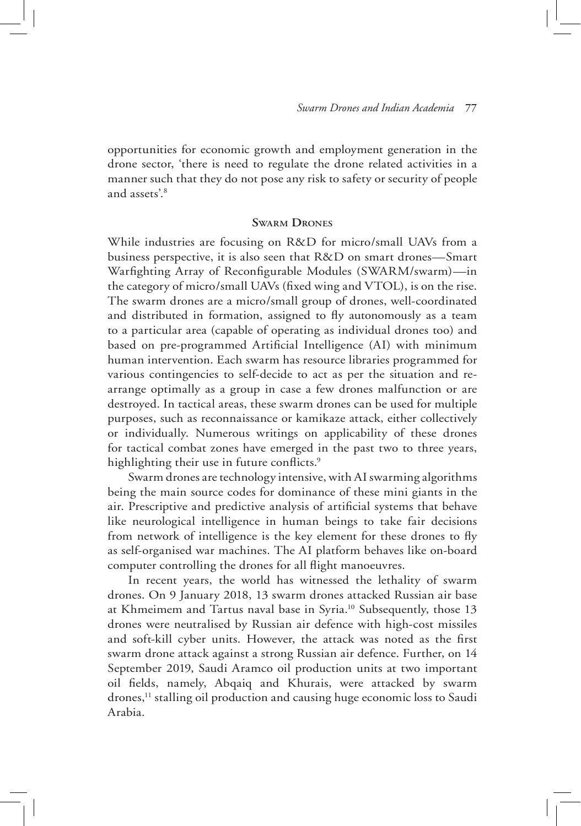opportunities for economic growth and employment generation in the drone sector, 'there is need to regulate the drone related activities in a manner such that they do not pose any risk to safety or security of people and assets'.<sup>8</sup>

#### **Swarm Drones**

While industries are focusing on R&D for micro/small UAVs from a business perspective, it is also seen that R&D on smart drones—Smart Warfighting Array of Reconfigurable Modules (SWARM/swarm)—in the category of micro/small UAVs (fixed wing and VTOL), is on the rise. The swarm drones are a micro/small group of drones, well-coordinated and distributed in formation, assigned to fly autonomously as a team to a particular area (capable of operating as individual drones too) and based on pre-programmed Artificial Intelligence (AI) with minimum human intervention. Each swarm has resource libraries programmed for various contingencies to self-decide to act as per the situation and rearrange optimally as a group in case a few drones malfunction or are destroyed. In tactical areas, these swarm drones can be used for multiple purposes, such as reconnaissance or kamikaze attack, either collectively or individually. Numerous writings on applicability of these drones for tactical combat zones have emerged in the past two to three years, highlighting their use in future conflicts.<sup>9</sup>

Swarm drones are technology intensive, with AI swarming algorithms being the main source codes for dominance of these mini giants in the air. Prescriptive and predictive analysis of artificial systems that behave like neurological intelligence in human beings to take fair decisions from network of intelligence is the key element for these drones to fly as self-organised war machines. The AI platform behaves like on-board computer controlling the drones for all flight manoeuvres.

In recent years, the world has witnessed the lethality of swarm drones. On 9 January 2018, 13 swarm drones attacked Russian air base at Khmeimem and Tartus naval base in Syria.10 Subsequently, those 13 drones were neutralised by Russian air defence with high-cost missiles and soft-kill cyber units. However, the attack was noted as the first swarm drone attack against a strong Russian air defence. Further, on 14 September 2019, Saudi Aramco oil production units at two important oil fields, namely, Abqaiq and Khurais, were attacked by swarm drones,<sup>11</sup> stalling oil production and causing huge economic loss to Saudi Arabia.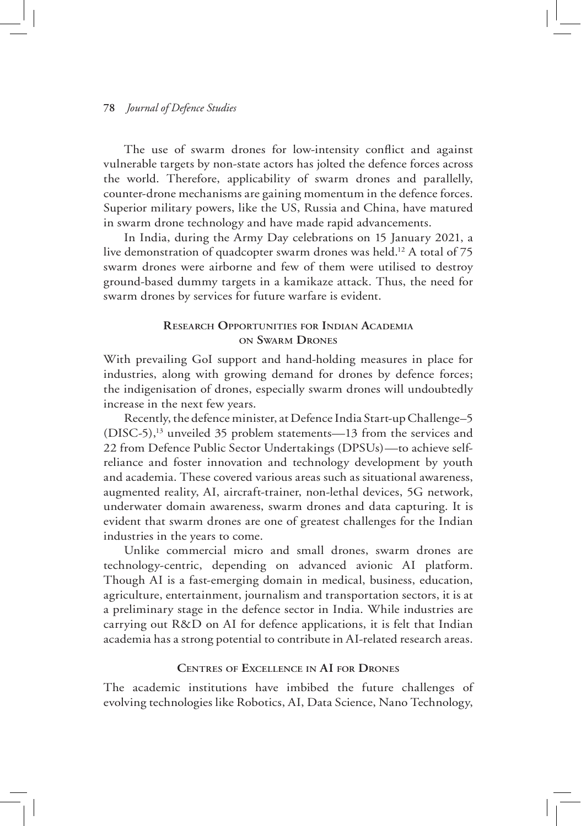#### **78** *Journal of Defence Studies*

The use of swarm drones for low-intensity conflict and against vulnerable targets by non-state actors has jolted the defence forces across the world. Therefore, applicability of swarm drones and parallelly, counter-drone mechanisms are gaining momentum in the defence forces. Superior military powers, like the US, Russia and China, have matured in swarm drone technology and have made rapid advancements.

In India, during the Army Day celebrations on 15 January 2021, a live demonstration of quadcopter swarm drones was held.<sup>12</sup> A total of 75 swarm drones were airborne and few of them were utilised to destroy ground-based dummy targets in a kamikaze attack. Thus, the need for swarm drones by services for future warfare is evident.

## **Research Opportunities for Indian Academia on Swarm Drones**

With prevailing GoI support and hand-holding measures in place for industries, along with growing demand for drones by defence forces; the indigenisation of drones, especially swarm drones will undoubtedly increase in the next few years.

Recently, the defence minister, at Defence India Start-up Challenge–5 (DISC-5),13 unveiled 35 problem statements—13 from the services and 22 from Defence Public Sector Undertakings (DPSUs)—to achieve selfreliance and foster innovation and technology development by youth and academia. These covered various areas such as situational awareness, augmented reality, AI, aircraft-trainer, non-lethal devices, 5G network, underwater domain awareness, swarm drones and data capturing. It is evident that swarm drones are one of greatest challenges for the Indian industries in the years to come.

Unlike commercial micro and small drones, swarm drones are technology-centric, depending on advanced avionic AI platform. Though AI is a fast-emerging domain in medical, business, education, agriculture, entertainment, journalism and transportation sectors, it is at a preliminary stage in the defence sector in India. While industries are carrying out R&D on AI for defence applications, it is felt that Indian academia has a strong potential to contribute in AI-related research areas.

### **Centres of Excellence in AI for Drones**

The academic institutions have imbibed the future challenges of evolving technologies like Robotics, AI, Data Science, Nano Technology,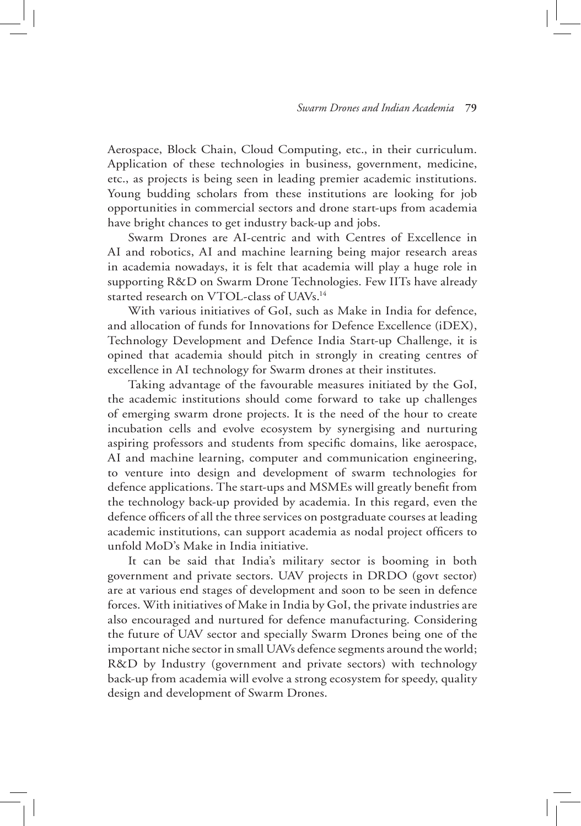Aerospace, Block Chain, Cloud Computing, etc., in their curriculum. Application of these technologies in business, government, medicine, etc., as projects is being seen in leading premier academic institutions. Young budding scholars from these institutions are looking for job opportunities in commercial sectors and drone start-ups from academia have bright chances to get industry back-up and jobs.

Swarm Drones are AI-centric and with Centres of Excellence in AI and robotics, AI and machine learning being major research areas in academia nowadays, it is felt that academia will play a huge role in supporting R&D on Swarm Drone Technologies. Few IITs have already started research on VTOL-class of UAVs.<sup>14</sup>

With various initiatives of GoI, such as Make in India for defence, and allocation of funds for Innovations for Defence Excellence (iDEX), Technology Development and Defence India Start-up Challenge, it is opined that academia should pitch in strongly in creating centres of excellence in AI technology for Swarm drones at their institutes.

Taking advantage of the favourable measures initiated by the GoI, the academic institutions should come forward to take up challenges of emerging swarm drone projects. It is the need of the hour to create incubation cells and evolve ecosystem by synergising and nurturing aspiring professors and students from specific domains, like aerospace, AI and machine learning, computer and communication engineering, to venture into design and development of swarm technologies for defence applications. The start-ups and MSMEs will greatly benefit from the technology back-up provided by academia. In this regard, even the defence officers of all the three services on postgraduate courses at leading academic institutions, can support academia as nodal project officers to unfold MoD's Make in India initiative.

It can be said that India's military sector is booming in both government and private sectors. UAV projects in DRDO (govt sector) are at various end stages of development and soon to be seen in defence forces. With initiatives of Make in India by GoI, the private industries are also encouraged and nurtured for defence manufacturing. Considering the future of UAV sector and specially Swarm Drones being one of the important niche sector in small UAVs defence segments around the world; R&D by Industry (government and private sectors) with technology back-up from academia will evolve a strong ecosystem for speedy, quality design and development of Swarm Drones.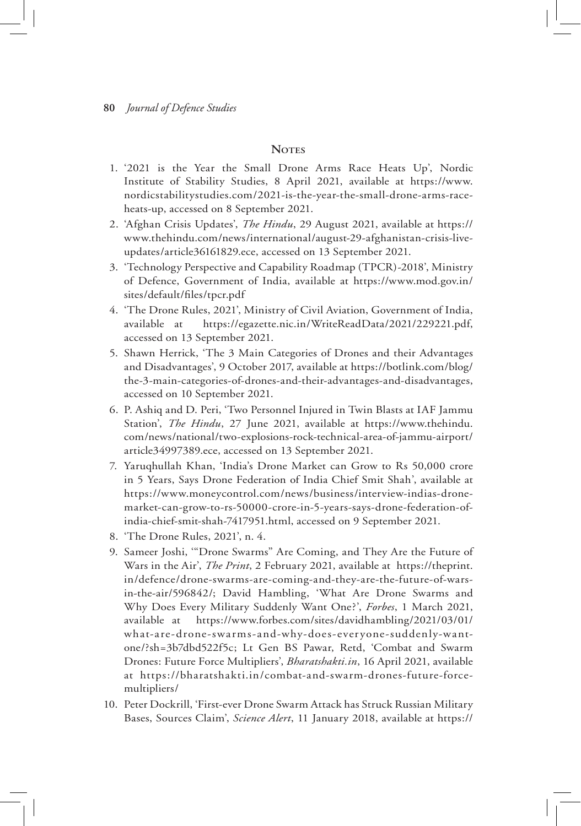### **Notes**

- 1. '2021 is the Year the Small Drone Arms Race Heats Up', Nordic Institute of Stability Studies, 8 April 2021, available at https://www. nordicstabilitystudies.com/2021-is-the-year-the-small-drone-arms-raceheats-up, accessed on 8 September 2021.
- 2. 'Afghan Crisis Updates', *The Hindu*, 29 August 2021, available at https:// www.thehindu.com/news/international/august-29-afghanistan-crisis-liveupdates/article36161829.ece, accessed on 13 September 2021.
- 3. 'Technology Perspective and Capability Roadmap (TPCR)-2018', Ministry of Defence, Government of India, available at https://www.mod.gov.in/ sites/default/files/tpcr.pdf
- 4. 'The Drone Rules, 2021', Ministry of Civil Aviation, Government of India, available at https://egazette.nic.in/WriteReadData/2021/229221.pdf, accessed on 13 September 2021.
- 5. Shawn Herrick, 'The 3 Main Categories of Drones and their Advantages and Disadvantages', 9 October 2017, available at https://botlink.com/blog/ the-3-main-categories-of-drones-and-their-advantages-and-disadvantages, accessed on 10 September 2021.
- 6. P. Ashiq and D. Peri, 'Two Personnel Injured in Twin Blasts at IAF Jammu Station', *The Hindu*, 27 June 2021, available at https://www.thehindu. com/news/national/two-explosions-rock-technical-area-of-jammu-airport/ article34997389.ece, accessed on 13 September 2021.
- 7. Yaruqhullah Khan, 'India's Drone Market can Grow to Rs 50,000 crore in 5 Years, Says Drone Federation of India Chief Smit Shah', available at https://www.moneycontrol.com/news/business/interview-indias-dronemarket-can-grow-to-rs-50000-crore-in-5-years-says-drone-federation-ofindia-chief-smit-shah-7417951.html, accessed on 9 September 2021.
- 8. 'The Drone Rules, 2021', n. 4.
- 9. Sameer Joshi, '"Drone Swarms" Are Coming, and They Are the Future of Wars in the Air', *The Print*, 2 February 2021, available at https://theprint. in/defence/drone-swarms-are-coming-and-they-are-the-future-of-warsin-the-air/596842/; David Hambling, 'What Are Drone Swarms and Why Does Every Military Suddenly Want One?', *Forbes*, 1 March 2021, available at https://www.forbes.com/sites/davidhambling/2021/03/01/ what-are-drone-swarms-and-why-does-everyone-suddenly-wantone/?sh=3b7dbd522f5c; Lt Gen BS Pawar, Retd, 'Combat and Swarm Drones: Future Force Multipliers', *Bharatshakti.in*, 16 April 2021, available at https://bharatshakti.in/combat-and-swarm-drones-future-forcemultipliers/
- 10. Peter Dockrill, 'First-ever Drone Swarm Attack has Struck Russian Military Bases, Sources Claim', *Science Alert*, 11 January 2018, available at https://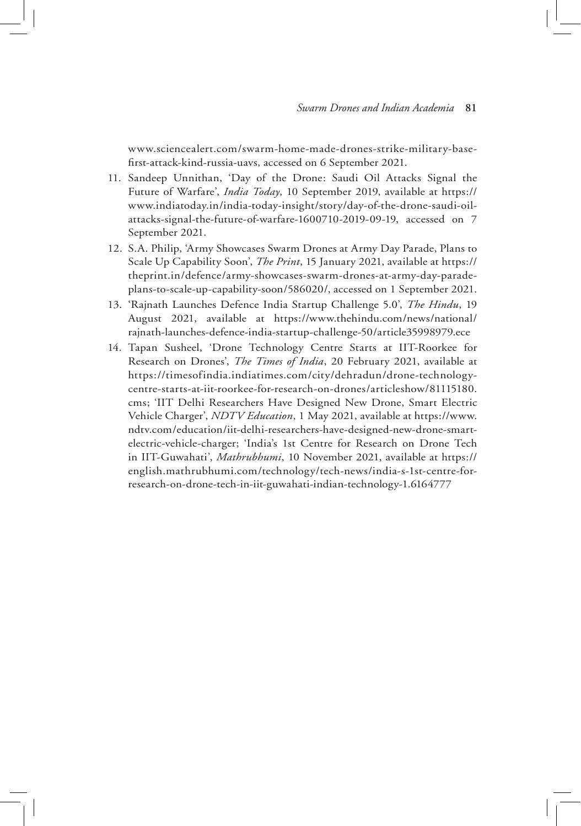www.sciencealert.com/swarm-home-made-drones-strike-military-basefirst-attack-kind-russia-uavs, accessed on 6 September 2021.

- 11. Sandeep Unnithan, 'Day of the Drone: Saudi Oil Attacks Signal the Future of Warfare', *India Today*, 10 September 2019, available at https:// www.indiatoday.in/india-today-insight/story/day-of-the-drone-saudi-oilattacks-signal-the-future-of-warfare-1600710-2019-09-19, accessed on 7 September 2021.
- 12. S.A. Philip, 'Army Showcases Swarm Drones at Army Day Parade, Plans to Scale Up Capability Soon', *The Print*, 15 January 2021, available at https:// theprint.in/defence/army-showcases-swarm-drones-at-army-day-paradeplans-to-scale-up-capability-soon/586020/, accessed on 1 September 2021.
- 13. 'Rajnath Launches Defence India Startup Challenge 5.0', *The Hindu*, 19 August 2021, available at https://www.thehindu.com/news/national/ rajnath-launches-defence-india-startup-challenge-50/article35998979.ece
- 14. Tapan Susheel, 'Drone Technology Centre Starts at IIT-Roorkee for Research on Drones', *The Times of India*, 20 February 2021, available at https://timesofindia.indiatimes.com/city/dehradun/drone-technologycentre-starts-at-iit-roorkee-for-research-on-drones/articleshow/81115180. cms; 'IIT Delhi Researchers Have Designed New Drone, Smart Electric Vehicle Charger', *NDTV Education*, 1 May 2021, available at https://www. ndtv.com/education/iit-delhi-researchers-have-designed-new-drone-smartelectric-vehicle-charger; 'India's 1st Centre for Research on Drone Tech in IIT-Guwahati', *Mathrubhumi*, 10 November 2021, available at https:// english.mathrubhumi.com/technology/tech-news/india-s-1st-centre-forresearch-on-drone-tech-in-iit-guwahati-indian-technology-1.6164777